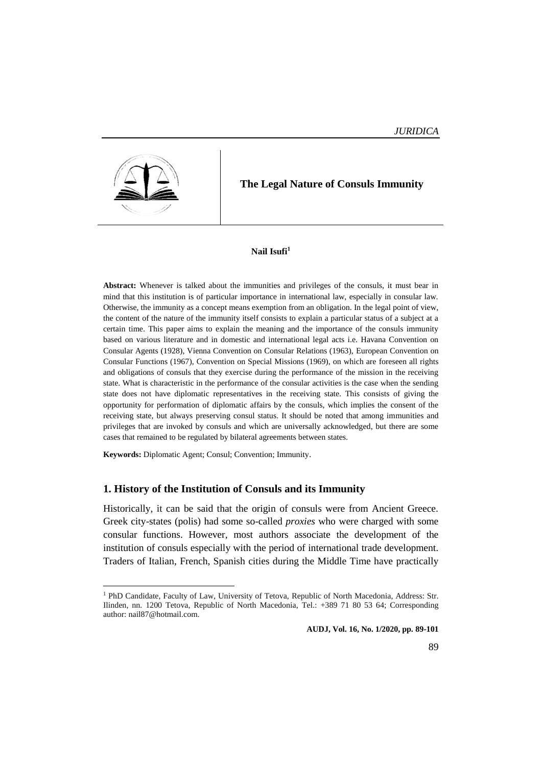

 $\overline{a}$ 

# **The Legal Nature of Consuls Immunity**

#### **Nail Isufi<sup>1</sup>**

**Abstract:** Whenever is talked about the immunities and privileges of the consuls, it must bear in mind that this institution is of particular importance in international law, especially in consular law. Otherwise, the immunity as a concept means exemption from an obligation. In the legal point of view, the content of the nature of the immunity itself consists to explain a particular status of a subject at a certain time. This paper aims to explain the meaning and the importance of the consuls immunity based on various literature and in domestic and international legal acts i.e. Havana Convention on Consular Agents (1928), Vienna Convention on Consular Relations (1963), European Convention on Consular Functions (1967), Convention on Special Missions (1969), on which are foreseen all rights and obligations of consuls that they exercise during the performance of the mission in the receiving state. What is characteristic in the performance of the consular activities is the case when the sending state does not have diplomatic representatives in the receiving state. This consists of giving the opportunity for performation of diplomatic affairs by the consuls, which implies the consent of the receiving state, but always preserving consul status. It should be noted that among immunities and privileges that are invoked by consuls and which are universally acknowledged, but there are some cases that remained to be regulated by bilateral agreements between states.

**Keywords:** Diplomatic Agent; Consul; Convention; Immunity.

### **1. History of the Institution of Consuls and its Immunity**

Historically, it can be said that the origin of consuls were from Ancient Greece. Greek city-states (polis) had some so-called *proxies* who were charged with some consular functions. However, most authors associate the development of the institution of consuls especially with the period of international trade development. Traders of Italian, French, Spanish cities during the Middle Time have practically

<sup>&</sup>lt;sup>1</sup> PhD Candidate, Faculty of Law, University of Tetova, Republic of North Macedonia, Address: Str. Ilinden, nn. 1200 Tetova, Republic of North Macedonia, Tel.: +389 71 80 53 64; Corresponding author: nail87@hotmail.com.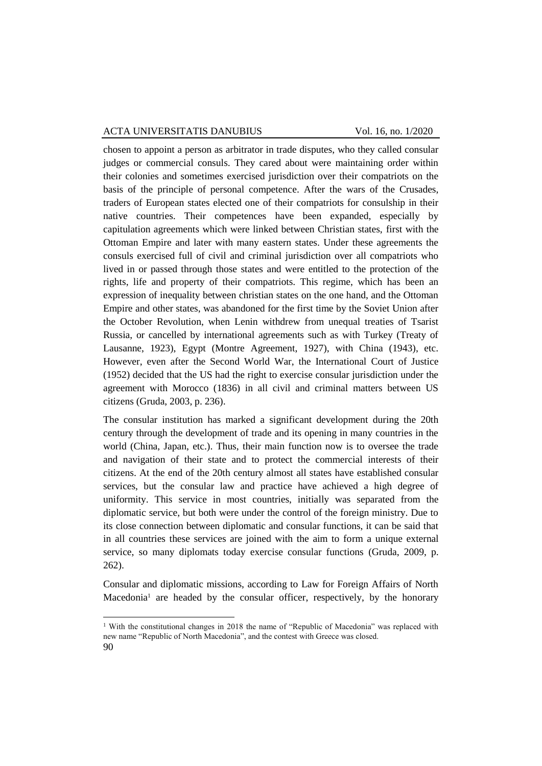chosen to appoint a person as arbitrator in trade disputes, who they called consular judges or commercial consuls. They cared about were maintaining order within their colonies and sometimes exercised jurisdiction over their compatriots on the basis of the principle of personal competence. After the wars of the Crusades, traders of European states elected one of their compatriots for consulship in their native countries. Their competences have been expanded, especially by capitulation agreements which were linked between Christian states, first with the Ottoman Empire and later with many eastern states. Under these agreements the consuls exercised full of civil and criminal jurisdiction over all compatriots who lived in or passed through those states and were entitled to the protection of the rights, life and property of their compatriots. This regime, which has been an expression of inequality between christian states on the one hand, and the Ottoman Empire and other states, was abandoned for the first time by the Soviet Union after the October Revolution, when Lenin withdrew from unequal treaties of Tsarist Russia, or cancelled by international agreements such as with Turkey (Treaty of Lausanne, 1923), Egypt (Montre Agreement, 1927), with China (1943), etc. However, even after the Second World War, the International Court of Justice (1952) decided that the US had the right to exercise consular jurisdiction under the agreement with Morocco (1836) in all civil and criminal matters between US citizens (Gruda, 2003, p. 236).

The consular institution has marked a significant development during the 20th century through the development of trade and its opening in many countries in the world (China, Japan, etc.). Thus, their main function now is to oversee the trade and navigation of their state and to protect the commercial interests of their citizens. At the end of the 20th century almost all states have established consular services, but the consular law and practice have achieved a high degree of uniformity. This service in most countries, initially was separated from the diplomatic service, but both were under the control of the foreign ministry. Due to its close connection between diplomatic and consular functions, it can be said that in all countries these services are joined with the aim to form a unique external service, so many diplomats today exercise consular functions (Gruda, 2009, p. 262).

Consular and diplomatic missions, according to Law for Foreign Affairs of North  $Macedonia<sup>1</sup>$  are headed by the consular officer, respectively, by the honorary

 $\overline{a}$ 

<sup>90</sup> <sup>1</sup> With the constitutional changes in 2018 the name of "Republic of Macedonia" was replaced with new name "Republic of North Macedonia", and the contest with Greece was closed.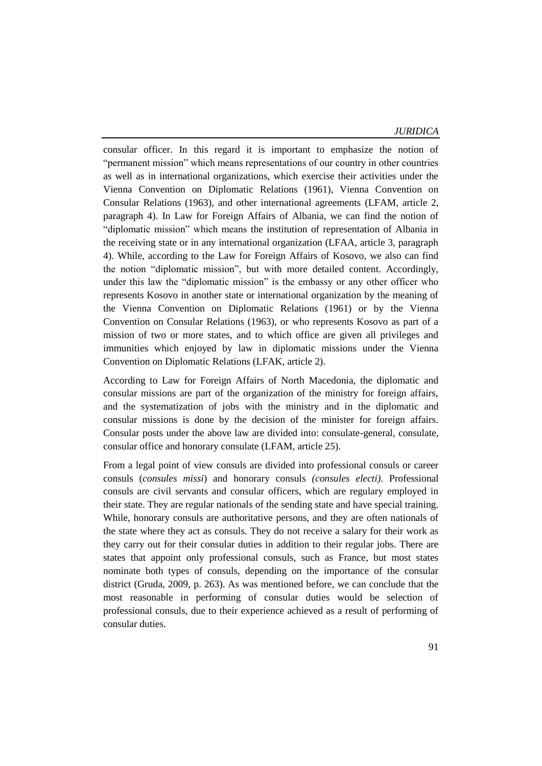*JURIDICA*

consular officer. In this regard it is important to emphasize the notion of "permanent mission" which means representations of our country in other countries as well as in international organizations, which exercise their activities under the Vienna Convention on Diplomatic Relations (1961), Vienna Convention on Consular Relations (1963), and other international agreements (LFAM, article 2, paragraph 4). In Law for Foreign Affairs of Albania, we can find the notion of "diplomatic mission" which means the institution of representation of Albania in the receiving state or in any international organization (LFAA, article 3, paragraph 4). While, according to the Law for Foreign Affairs of Kosovo, we also can find the notion "diplomatic mission", but with more detailed content. Accordingly, under this law the "diplomatic mission" is the embassy or any other officer who represents Kosovo in another state or international organization by the meaning of the Vienna Convention on Diplomatic Relations (1961) or by the Vienna Convention on Consular Relations (1963), or who represents Kosovo as part of a mission of two or more states, and to which office are given all privileges and immunities which enjoyed by law in diplomatic missions under the Vienna Convention on Diplomatic Relations (LFAK, article 2).

According to Law for Foreign Affairs of North Macedonia, the diplomatic and consular missions are part of the organization of the ministry for foreign affairs, and the systematization of jobs with the ministry and in the diplomatic and consular missions is done by the decision of the minister for foreign affairs. Consular posts under the above law are divided into: consulate-general, consulate, consular office and honorary consulate (LFAM, article 25).

From a legal point of view consuls are divided into professional consuls or career consuls (*consules missi*) and honorary consuls *(consules electi)*. Professional consuls are civil servants and consular officers, which are regulary employed in their state. They are regular nationals of the sending state and have special training. While, honorary consuls are authoritative persons, and they are often nationals of the state where they act as consuls. They do not receive a salary for their work as they carry out for their consular duties in addition to their regular jobs. There are states that appoint only professional consuls, such as France, but most states nominate both types of consuls, depending on the importance of the consular district (Gruda, 2009, p. 263). As was mentioned before, we can conclude that the most reasonable in performing of consular duties would be selection of professional consuls, due to their experience achieved as a result of performing of consular duties.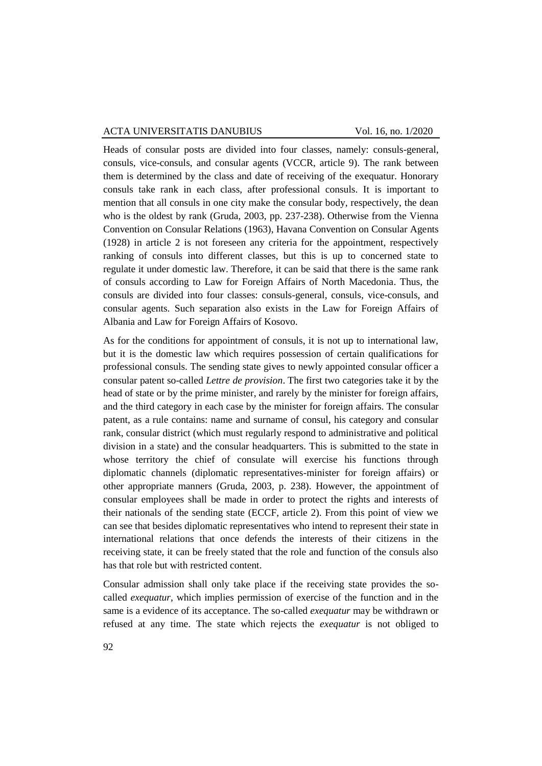Heads of consular posts are divided into four classes, namely: consuls-general, consuls, vice-consuls, and consular agents (VCCR, article 9). The rank between them is determined by the class and date of receiving of the exequatur. Honorary consuls take rank in each class, after professional consuls. It is important to mention that all consuls in one city make the consular body, respectively, the dean who is the oldest by rank (Gruda, 2003, pp. 237-238). Otherwise from the Vienna Convention on Consular Relations (1963), Havana Convention on Consular Agents (1928) in article 2 is not foreseen any criteria for the appointment, respectively ranking of consuls into different classes, but this is up to concerned state to regulate it under domestic law. Therefore, it can be said that there is the same rank of consuls according to Law for Foreign Affairs of North Macedonia. Thus, the consuls are divided into four classes: consuls-general, consuls, vice-consuls, and consular agents. Such separation also exists in the Law for Foreign Affairs of Albania and Law for Foreign Affairs of Kosovo.

As for the conditions for appointment of consuls, it is not up to international law, but it is the domestic law which requires possession of certain qualifications for professional consuls. The sending state gives to newly appointed consular officer a consular patent so-called *Lettre de provision*. The first two categories take it by the head of state or by the prime minister, and rarely by the minister for foreign affairs, and the third category in each case by the minister for foreign affairs. The consular patent, as a rule contains: name and surname of consul, his category and consular rank, consular district (which must regularly respond to administrative and political division in a state) and the consular headquarters. This is submitted to the state in whose territory the chief of consulate will exercise his functions through diplomatic channels (diplomatic representatives-minister for foreign affairs) or other appropriate manners (Gruda, 2003, p. 238). However, the appointment of consular employees shall be made in order to protect the rights and interests of their nationals of the sending state (ECCF, article 2). From this point of view we can see that besides diplomatic representatives who intend to represent their state in international relations that once defends the interests of their citizens in the receiving state, it can be freely stated that the role and function of the consuls also has that role but with restricted content.

Consular admission shall only take place if the receiving state provides the socalled *exequatur*, which implies permission of exercise of the function and in the same is a evidence of its acceptance. The so-called *exequatur* may be withdrawn or refused at any time. The state which rejects the *exequatur* is not obliged to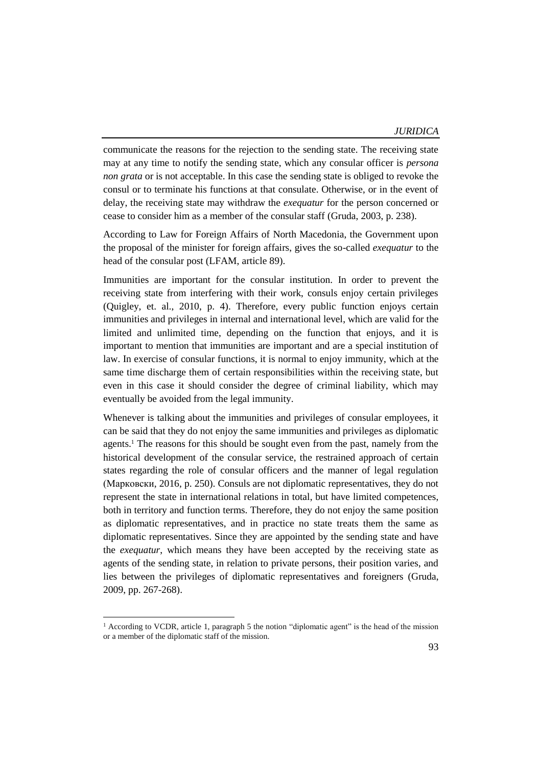communicate the reasons for the rejection to the sending state. The receiving state may at any time to notify the sending state, which any consular officer is *persona non grata* or is not acceptable. In this case the sending state is obliged to revoke the consul or to terminate his functions at that consulate. Otherwise, or in the event of delay, the receiving state may withdraw the *exequatur* for the person concerned or cease to consider him as a member of the consular staff (Gruda, 2003, p. 238).

According to Law for Foreign Affairs of North Macedonia, the Government upon the proposal of the minister for foreign affairs, gives the so-called *exequatur* to the head of the consular post (LFAM, article 89).

Immunities are important for the consular institution. In order to prevent the receiving state from interfering with their work, consuls enjoy certain privileges (Quigley, et. al., 2010, p. 4). Therefore, every public function enjoys certain immunities and privileges in internal and international level, which are valid for the limited and unlimited time, depending on the function that enjoys, and it is important to mention that immunities are important and are a special institution of law. In exercise of consular functions, it is normal to enjoy immunity, which at the same time discharge them of certain responsibilities within the receiving state, but even in this case it should consider the degree of criminal liability, which may eventually be avoided from the legal immunity.

Whenever is talking about the immunities and privileges of consular employees, it can be said that they do not enjoy the same immunities and privileges as diplomatic agents.<sup>1</sup> The reasons for this should be sought even from the past, namely from the historical development of the consular service, the restrained approach of certain states regarding the role of consular officers and the manner of legal regulation (Марковски, 2016, p. 250). Consuls are not diplomatic representatives, they do not represent the state in international relations in total, but have limited competences, both in territory and function terms. Therefore, they do not enjoy the same position as diplomatic representatives, and in practice no state treats them the same as diplomatic representatives. Since they are appointed by the sending state and have the *exequatur*, which means they have been accepted by the receiving state as agents of the sending state, in relation to private persons, their position varies, and lies between the privileges of diplomatic representatives and foreigners (Gruda, 2009, pp. 267-268).

 $\overline{a}$ 

<sup>&</sup>lt;sup>1</sup> According to VCDR, article 1, paragraph 5 the notion "diplomatic agent" is the head of the mission or a member of the diplomatic staff of the mission.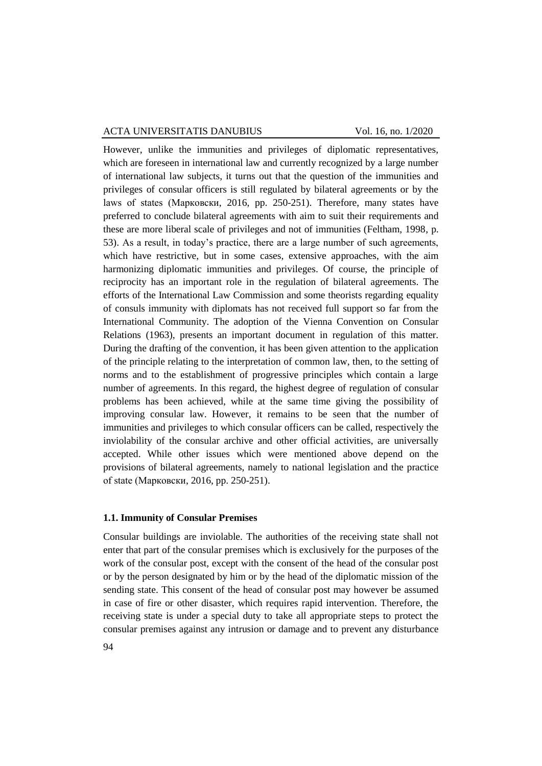However, unlike the immunities and privileges of diplomatic representatives, which are foreseen in international law and currently recognized by a large number of international law subjects, it turns out that the question of the immunities and privileges of consular officers is still regulated by bilateral agreements or by the laws of states (Марковски, 2016, pp. 250-251). Therefore, many states have preferred to conclude bilateral agreements with aim to suit their requirements and these are more liberal scale of privileges and not of immunities (Feltham, 1998, p. 53). As a result, in today's practice, there are a large number of such agreements, which have restrictive, but in some cases, extensive approaches, with the aim harmonizing diplomatic immunities and privileges. Of course, the principle of reciprocity has an important role in the regulation of bilateral agreements. The efforts of the International Law Commission and some theorists regarding equality of consuls immunity with diplomats has not received full support so far from the International Community. The adoption of the Vienna Convention on Consular Relations (1963), presents an important document in regulation of this matter. During the drafting of the convention, it has been given attention to the application of the principle relating to the interpretation of common law, then, to the setting of norms and to the establishment of progressive principles which contain a large number of agreements. In this regard, the highest degree of regulation of consular problems has been achieved, while at the same time giving the possibility of improving consular law. However, it remains to be seen that the number of immunities and privileges to which consular officers can be called, respectively the inviolability of the consular archive and other official activities, are universally accepted. While other issues which were mentioned above depend on the provisions of bilateral agreements, namely to national legislation and the practice of state (Марковски, 2016, pp. 250-251).

#### **1.1. Immunity of Consular Premises**

Consular buildings are inviolable. The authorities of the receiving state shall not enter that part of the consular premises which is exclusively for the purposes of the work of the consular post, except with the consent of the head of the consular post or by the person designated by him or by the head of the diplomatic mission of the sending state. This consent of the head of consular post may however be assumed in case of fire or other disaster, which requires rapid intervention. Therefore, the receiving state is under a special duty to take all appropriate steps to protect the consular premises against any intrusion or damage and to prevent any disturbance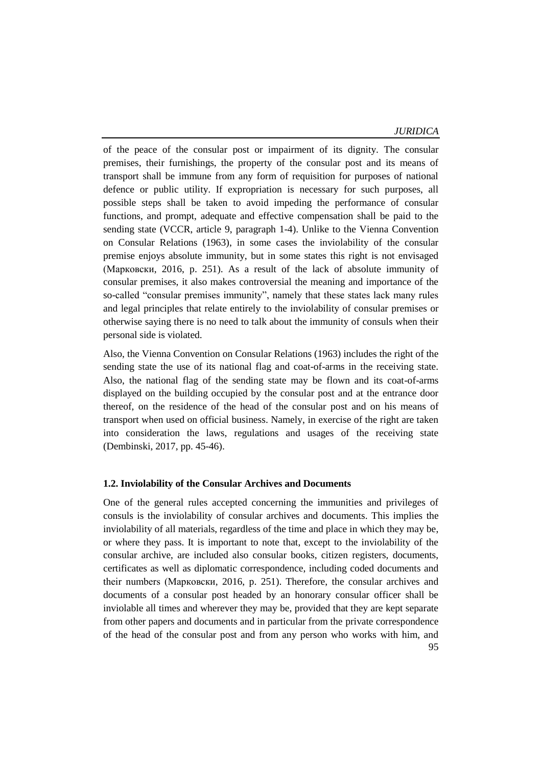*JURIDICA*

of the peace of the consular post or impairment of its dignity. The consular premises, their furnishings, the property of the consular post and its means of transport shall be immune from any form of requisition for purposes of national defence or public utility. If expropriation is necessary for such purposes, all possible steps shall be taken to avoid impeding the performance of consular functions, and prompt, adequate and effective compensation shall be paid to the sending state (VCCR, article 9, paragraph 1-4). Unlike to the Vienna Convention on Consular Relations (1963), in some cases the inviolability of the consular premise enjoys absolute immunity, but in some states this right is not envisaged (Марковски, 2016, p. 251). As a result of the lack of absolute immunity of consular premises, it also makes controversial the meaning and importance of the so-called "consular premises immunity", namely that these states lack many rules and legal principles that relate entirely to the inviolability of consular premises or otherwise saying there is no need to talk about the immunity of consuls when their personal side is violated.

Also, the Vienna Convention on Consular Relations (1963) includes the right of the sending state the use of its national flag and coat-of-arms in the receiving state. Also, the national flag of the sending state may be flown and its coat-of-arms displayed on the building occupied by the consular post and at the entrance door thereof, on the residence of the head of the consular post and on his means of transport when used on official business. Namely, in exercise of the right are taken into consideration the laws, regulations and usages of the receiving state (Dembinski, 2017, pp. 45-46).

### **1.2. Inviolability of the Consular Archives and Documents**

One of the general rules accepted concerning the immunities and privileges of consuls is the inviolability of consular archives and documents. This implies the inviolability of all materials, regardless of the time and place in which they may be, or where they pass. It is important to note that, except to the inviolability of the consular archive, are included also consular books, citizen registers, documents, certificates as well as diplomatic correspondence, including coded documents and their numbers (Марковски, 2016, p. 251). Therefore, the consular archives and documents of a consular post headed by an honorary consular officer shall be inviolable all times and wherever they may be, provided that they are kept separate from other papers and documents and in particular from the private correspondence of the head of the consular post and from any person who works with him, and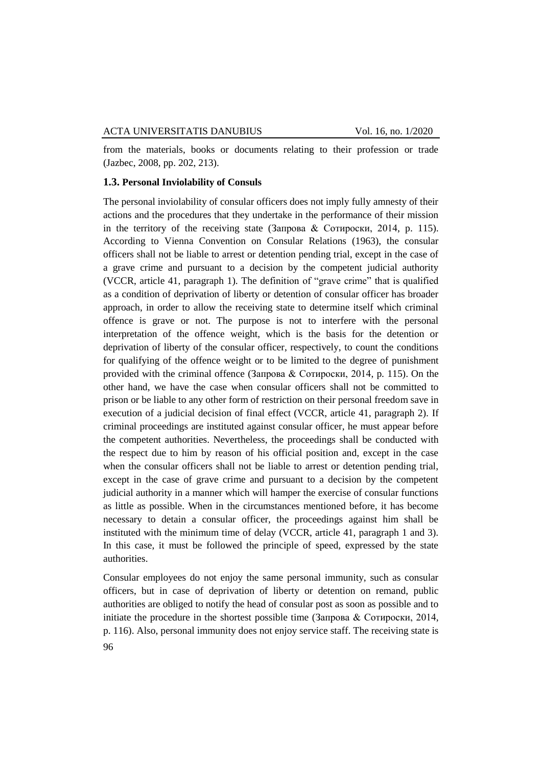from the materials, books or documents relating to their profession or trade (Jazbec, 2008, pp. 202, 213).

#### **1.3. Personal Inviolability of Consuls**

The personal inviolability of consular officers does not imply fully amnesty of their actions and the procedures that they undertake in the performance of their mission in the territory of the receiving state (Запрова & Сотироски, 2014, p. 115). According to Vienna Convention on Consular Relations (1963), the consular officers shall not be liable to arrest or detention pending trial, except in the case of a grave crime and pursuant to a decision by the competent judicial authority (VCCR, article 41, paragraph 1). The definition of "grave crime" that is qualified as a condition of deprivation of liberty or detention of consular officer has broader approach, in order to allow the receiving state to determine itself which criminal offence is grave or not. The purpose is not to interfere with the personal interpretation of the offence weight, which is the basis for the detention or deprivation of liberty of the consular officer, respectively, to count the conditions for qualifying of the offence weight or to be limited to the degree of punishment provided with the criminal offence (Запрова & Сотироски, 2014, p. 115). On the other hand, we have the case when consular officers shall not be committed to prison or be liable to any other form of restriction on their personal freedom save in execution of a judicial decision of final effect (VCCR, article 41, paragraph 2). If criminal proceedings are instituted against consular officer, he must appear before the competent authorities. Nevertheless, the proceedings shall be conducted with the respect due to him by reason of his official position and, except in the case when the consular officers shall not be liable to arrest or detention pending trial, except in the case of grave crime and pursuant to a decision by the competent judicial authority in a manner which will hamper the exercise of consular functions as little as possible. When in the circumstances mentioned before, it has become necessary to detain a consular officer, the proceedings against him shall be instituted with the minimum time of delay (VCCR, article 41, paragraph 1 and 3). In this case, it must be followed the principle of speed, expressed by the state authorities.

Consular employees do not enjoy the same personal immunity, such as consular officers, but in case of deprivation of liberty or detention on remand, public authorities are obliged to notify the head of consular post as soon as possible and to initiate the procedure in the shortest possible time (Запрова & Сотироски, 2014, p. 116). Also, personal immunity does not enjoy service staff. The receiving state is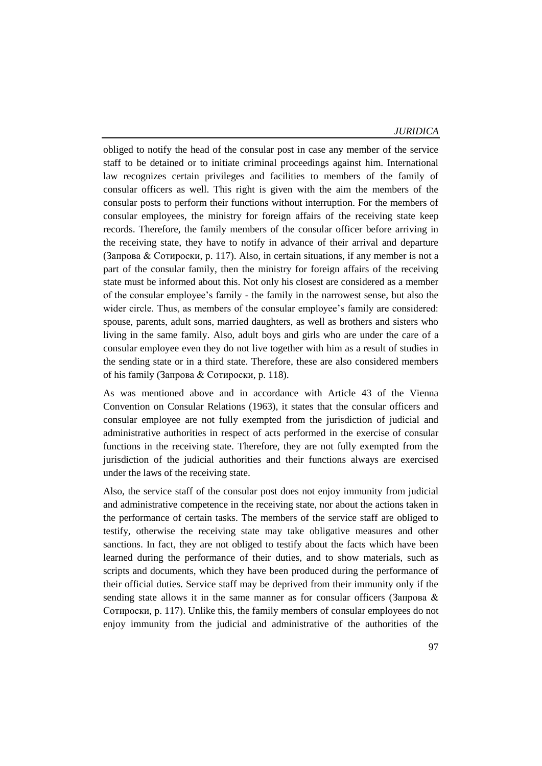*JURIDICA*

obliged to notify the head of the consular post in case any member of the service staff to be detained or to initiate criminal proceedings against him. International law recognizes certain privileges and facilities to members of the family of consular officers as well. This right is given with the aim the members of the consular posts to perform their functions without interruption. For the members of consular employees, the ministry for foreign affairs of the receiving state keep records. Therefore, the family members of the consular officer before arriving in the receiving state, they have to notify in advance of their arrival and departure (Запрова & Сотироски, p. 117). Also, in certain situations, if any member is not a part of the consular family, then the ministry for foreign affairs of the receiving state must be informed about this. Not only his closest are considered as a member of the consular employee's family - the family in the narrowest sense, but also the wider circle. Thus, as members of the consular employee's family are considered: spouse, parents, adult sons, married daughters, as well as brothers and sisters who living in the same family. Also, adult boys and girls who are under the care of a consular employee even they do not live together with him as a result of studies in the sending state or in a third state. Therefore, these are also considered members of his family (Запрова & Сотироски, p. 118).

As was mentioned above and in accordance with Article 43 of the Vienna Convention on Consular Relations (1963), it states that the consular officers and consular employee are not fully exempted from the jurisdiction of judicial and administrative authorities in respect of acts performed in the exercise of consular functions in the receiving state. Therefore, they are not fully exempted from the jurisdiction of the judicial authorities and their functions always are exercised under the laws of the receiving state.

Also, the service staff of the consular post does not enjoy immunity from judicial and administrative competence in the receiving state, nor about the actions taken in the performance of certain tasks. The members of the service staff are obliged to testify, otherwise the receiving state may take obligative measures and other sanctions. In fact, they are not obliged to testify about the facts which have been learned during the performance of their duties, and to show materials, such as scripts and documents, which they have been produced during the performance of their official duties. Service staff may be deprived from their immunity only if the sending state allows it in the same manner as for consular officers (Запрова & Сотироски, p. 117). Unlike this, the family members of consular employees do not enjoy immunity from the judicial and administrative of the authorities of the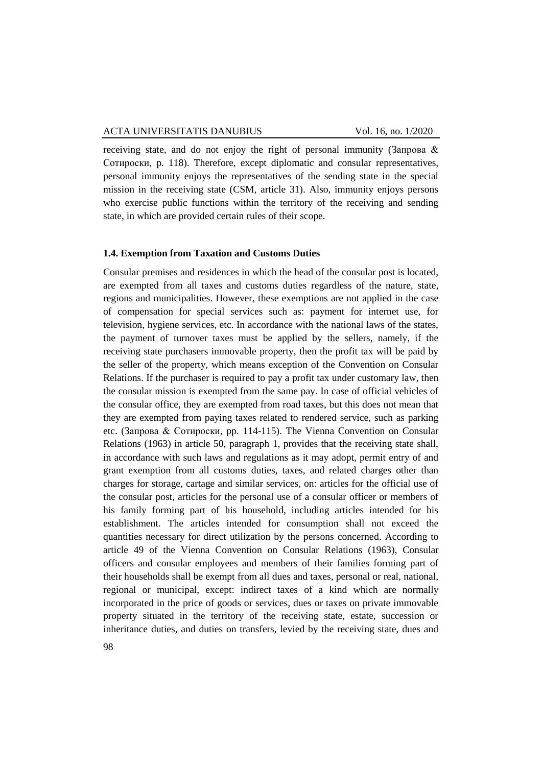receiving state, and do not enjoy the right of personal immunity (Запрова & Сотироски, p. 118). Therefore, except diplomatic and consular representatives, personal immunity enjoys the representatives of the sending state in the special mission in the receiving state (CSM, article 31). Also, immunity enjoys persons who exercise public functions within the territory of the receiving and sending state, in which are provided certain rules of their scope.

## **1.4. Exemption from Taxation and Customs Duties**

Consular premises and residences in which the head of the consular post is located, are exempted from all taxes and customs duties regardless of the nature, state, regions and municipalities. However, these exemptions are not applied in the case of compensation for special services such as: payment for internet use, for television, hygiene services, etc. In accordance with the national laws of the states, the payment of turnover taxes must be applied by the sellers, namely, if the receiving state purchasers immovable property, then the profit tax will be paid by the seller of the property, which means exception of the Convention on Consular Relations. If the purchaser is required to pay a profit tax under customary law, then the consular mission is exempted from the same pay. In case of official vehicles of the consular office, they are exempted from road taxes, but this does not mean that they are exempted from paying taxes related to rendered service, such as parking etc. (Запрова & Сотироски, pp. 114-115). The Vienna Convention on Consular Relations (1963) in article 50, paragraph 1, provides that the receiving state shall, in accordance with such laws and regulations as it may adopt, permit entry of and grant exemption from all customs duties, taxes, and related charges other than charges for storage, cartage and similar services, on: articles for the official use of the consular post, articles for the personal use of a consular officer or members of his family forming part of his household, including articles intended for his establishment. The articles intended for consumption shall not exceed the quantities necessary for direct utilization by the persons concerned. According to article 49 of the Vienna Convention on Consular Relations (1963), Consular officers and consular employees and members of their families forming part of their households shall be exempt from all dues and taxes, personal or real, national, regional or municipal, except: indirect taxes of a kind which are normally incorporated in the price of goods or services, dues or taxes on private immovable property situated in the territory of the receiving state, estate, succession or inheritance duties, and duties on transfers, levied by the receiving state, dues and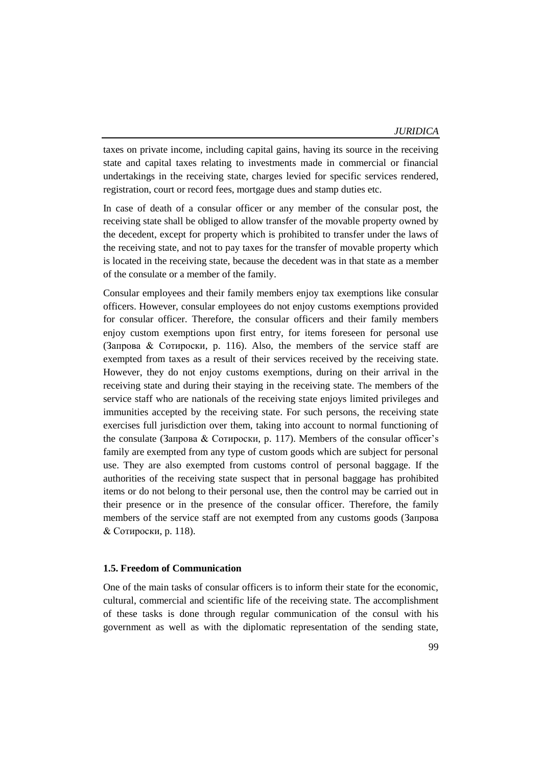taxes on private income, including capital gains, having its source in the receiving state and capital taxes relating to investments made in commercial or financial undertakings in the receiving state, charges levied for specific services rendered, registration, court or record fees, mortgage dues and stamp duties etc.

In case of death of a consular officer or any member of the consular post, the receiving state shall be obliged to allow transfer of the movable property owned by the decedent, except for property which is prohibited to transfer under the laws of the receiving state, and not to pay taxes for the transfer of movable property which is located in the receiving state, because the decedent was in that state as a member of the consulate or a member of the family.

Consular employees and their family members enjoy tax exemptions like consular officers. However, consular employees do not enjoy customs exemptions provided for consular officer. Therefore, the consular officers and their family members enjoy custom exemptions upon first entry, for items foreseen for personal use (Запрова & Сотироски, p. 116). Also, the members of the service staff are exempted from taxes as a result of their services received by the receiving state. However, they do not enjoy customs exemptions, during on their arrival in the receiving state and during their staying in the receiving state. The members of the service staff who are nationals of the receiving state enjoys limited privileges and immunities accepted by the receiving state. For such persons, the receiving state exercises full jurisdiction over them, taking into account to normal functioning of the consulate (Запрова & Сотироски, p. 117). Members of the consular officer's family are exempted from any type of custom goods which are subject for personal use. They are also exempted from customs control of personal baggage. If the authorities of the receiving state suspect that in personal baggage has prohibited items or do not belong to their personal use, then the control may be carried out in their presence or in the presence of the consular officer. Therefore, the family members of the service staff are not exempted from any customs goods (Запрова & Сотироски, p. 118).

### **1.5. Freedom of Communication**

One of the main tasks of consular officers is to inform their state for the economic, cultural, commercial and scientific life of the receiving state. The accomplishment of these tasks is done through regular communication of the consul with his government as well as with the diplomatic representation of the sending state,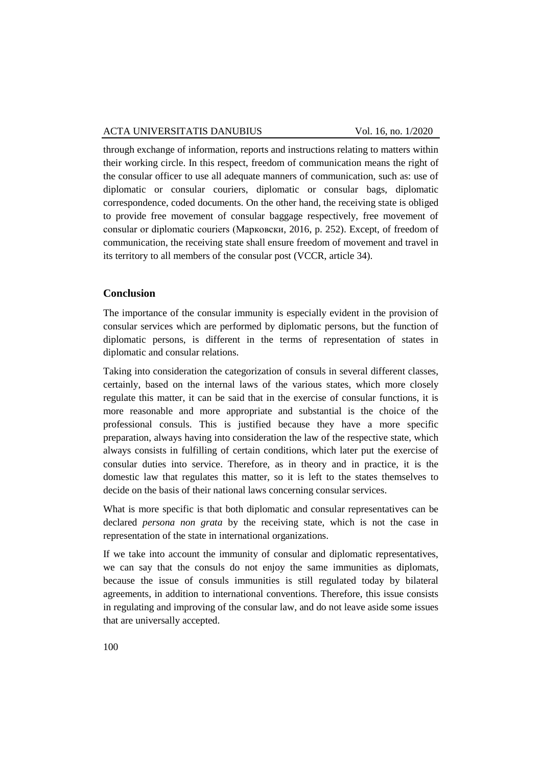through exchange of information, reports and instructions relating to matters within their working circle. In this respect, freedom of communication means the right of the consular officer to use all adequate manners of communication, such as: use of diplomatic or consular couriers, diplomatic or consular bags, diplomatic correspondence, coded documents. On the other hand, the receiving state is obliged to provide free movement of consular baggage respectively, free movement of consular or diplomatic couriers (Марковски, 2016, p. 252). Except, of freedom of communication, the receiving state shall ensure freedom of movement and travel in its territory to all members of the consular post (VCCR, article 34).

## **Conclusion**

The importance of the consular immunity is especially evident in the provision of consular services which are performed by diplomatic persons, but the function of diplomatic persons, is different in the terms of representation of states in diplomatic and consular relations.

Taking into consideration the categorization of consuls in several different classes, certainly, based on the internal laws of the various states, which more closely regulate this matter, it can be said that in the exercise of consular functions, it is more reasonable and more appropriate and substantial is the choice of the professional consuls. This is justified because they have a more specific preparation, always having into consideration the law of the respective state, which always consists in fulfilling of certain conditions, which later put the exercise of consular duties into service. Therefore, as in theory and in practice, it is the domestic law that regulates this matter, so it is left to the states themselves to decide on the basis of their national laws concerning consular services.

What is more specific is that both diplomatic and consular representatives can be declared *persona non grata* by the receiving state, which is not the case in representation of the state in international organizations.

If we take into account the immunity of consular and diplomatic representatives, we can say that the consuls do not enjoy the same immunities as diplomats, because the issue of consuls immunities is still regulated today by bilateral agreements, in addition to international conventions. Therefore, this issue consists in regulating and improving of the consular law, and do not leave aside some issues that are universally accepted.